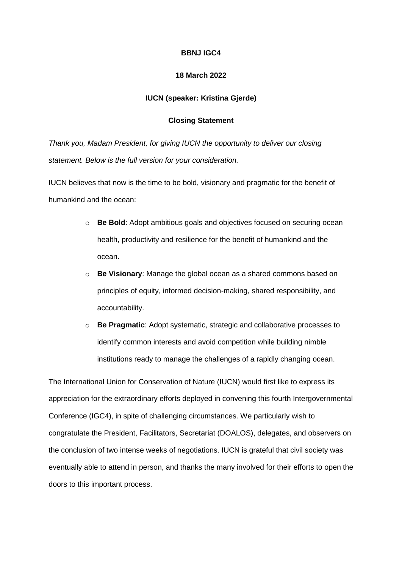## **BBNJ IGC4**

## **18 March 2022**

## **IUCN (speaker: Kristina Gjerde)**

## **Closing Statement**

*Thank you, Madam President, for giving IUCN the opportunity to deliver our closing statement. Below is the full version for your consideration.*

IUCN believes that now is the time to be bold, visionary and pragmatic for the benefit of humankind and the ocean:

- o **Be Bold**: Adopt ambitious goals and objectives focused on securing ocean health, productivity and resilience for the benefit of humankind and the ocean.
- o **Be Visionary**: Manage the global ocean as a shared commons based on principles of equity, informed decision-making, shared responsibility, and accountability.
- o **Be Pragmatic**: Adopt systematic, strategic and collaborative processes to identify common interests and avoid competition while building nimble institutions ready to manage the challenges of a rapidly changing ocean.

The International Union for Conservation of Nature (IUCN) would first like to express its appreciation for the extraordinary efforts deployed in convening this fourth Intergovernmental Conference (IGC4), in spite of challenging circumstances. We particularly wish to congratulate the President, Facilitators, Secretariat (DOALOS), delegates, and observers on the conclusion of two intense weeks of negotiations. IUCN is grateful that civil society was eventually able to attend in person, and thanks the many involved for their efforts to open the doors to this important process.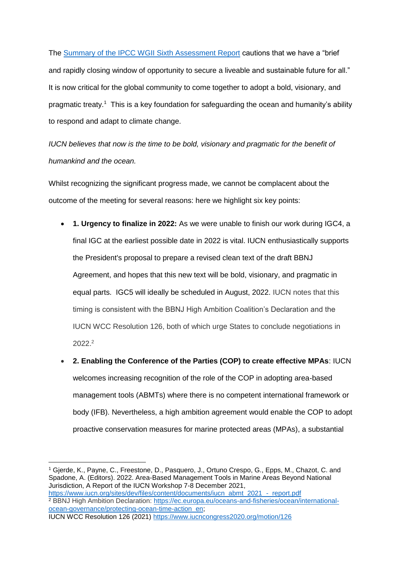The [Summary of the IPCC WGII Sixth Assessment Report](https://report.ipcc.ch/ar6wg2/pdf/IPCC_AR6_WGII_SummaryForPolicymakers.pdf) cautions that we have a "brief and rapidly closing window of opportunity to secure a liveable and sustainable future for all." It is now critical for the global community to come together to adopt a bold, visionary, and pragmatic treaty.<sup>1</sup> This is a key foundation for safeguarding the ocean and humanity's ability to respond and adapt to climate change.

*IUCN believes that now is the time to be bold, visionary and pragmatic for the benefit of humankind and the ocean.*

Whilst recognizing the significant progress made, we cannot be complacent about the outcome of the meeting for several reasons: here we highlight six key points:

- **1. Urgency to finalize in 2022:** As we were unable to finish our work during IGC4, a final IGC at the earliest possible date in 2022 is vital. IUCN enthusiastically supports the President's proposal to prepare a revised clean text of the draft BBNJ Agreement, and hopes that this new text will be bold, visionary, and pragmatic in equal parts. IGC5 will ideally be scheduled in August, 2022. IUCN notes that this timing is consistent with the BBNJ High Ambition Coalition's Declaration and the IUCN WCC Resolution 126, both of which urge States to conclude negotiations in 2022.<sup>2</sup>
- **2. Enabling the Conference of the Parties (COP) to create effective MPAs**: IUCN welcomes increasing recognition of the role of the COP in adopting area-based management tools (ABMTs) where there is no competent international framework or body (IFB). Nevertheless, a high ambition agreement would enable the COP to adopt proactive conservation measures for marine protected areas (MPAs), a substantial

**.** 

<sup>2</sup> BBNJ High Ambition Declaration: [https://ec.europa.eu/oceans-and-fisheries/ocean/international](https://ec.europa.eu/oceans-and-fisheries/ocean/international-ocean-governance/protecting-ocean-time-action_en%20%5d)[ocean-governance/protecting-ocean-time-action\\_en;](https://ec.europa.eu/oceans-and-fisheries/ocean/international-ocean-governance/protecting-ocean-time-action_en%20%5d) IUCN WCC Resolution 126 (2021)<https://www.iucncongress2020.org/motion/126>

<sup>1</sup> Gjerde, K., Payne, C., Freestone, D., Pasquero, J., Ortuno Crespo, G., Epps, M., Chazot, C. and Spadone, A. (Editors). 2022. Area-Based Management Tools in Marine Areas Beyond National Jurisdiction, A Report of the IUCN Workshop 7-8 December 2021, [https://www.iucn.org/sites/dev/files/content/documents/iucn\\_abmt\\_2021\\_-\\_report.pdf](https://www.iucn.org/sites/dev/files/content/documents/iucn_abmt_2021_-_report.pdf)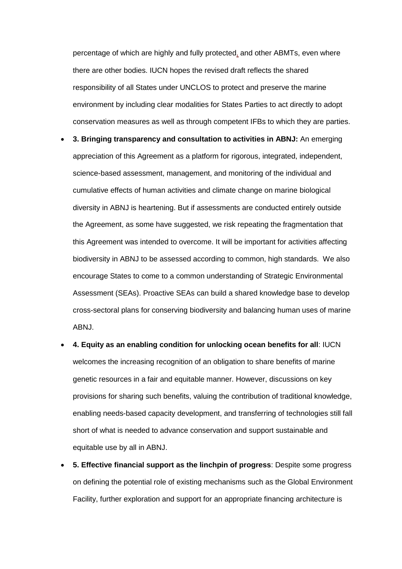percentage of which are highly and fully protected, and other ABMTs, even where there are other bodies. IUCN hopes the revised draft reflects the shared responsibility of all States under UNCLOS to protect and preserve the marine environment by including clear modalities for States Parties to act directly to adopt conservation measures as well as through competent IFBs to which they are parties.

- **3. Bringing transparency and consultation to activities in ABNJ:** An emerging appreciation of this Agreement as a platform for rigorous, integrated, independent, science-based assessment, management, and monitoring of the individual and cumulative effects of human activities and climate change on marine biological diversity in ABNJ is heartening. But if assessments are conducted entirely outside the Agreement, as some have suggested, we risk repeating the fragmentation that this Agreement was intended to overcome. It will be important for activities affecting biodiversity in ABNJ to be assessed according to common, high standards. We also encourage States to come to a common understanding of Strategic Environmental Assessment (SEAs). Proactive SEAs can build a shared knowledge base to develop cross-sectoral plans for conserving biodiversity and balancing human uses of marine ABNJ.
- **4. Equity as an enabling condition for unlocking ocean benefits for all**: IUCN welcomes the increasing recognition of an obligation to share benefits of marine genetic resources in a fair and equitable manner. However, discussions on key provisions for sharing such benefits, valuing the contribution of traditional knowledge, enabling needs-based capacity development, and transferring of technologies still fall short of what is needed to advance conservation and support sustainable and equitable use by all in ABNJ.
- **5. Effective financial support as the linchpin of progress**: Despite some progress on defining the potential role of existing mechanisms such as the Global Environment Facility, further exploration and support for an appropriate financing architecture is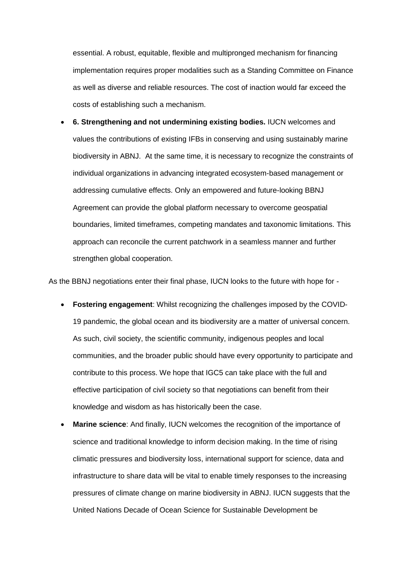essential. A robust, equitable, flexible and multipronged mechanism for financing implementation requires proper modalities such as a Standing Committee on Finance as well as diverse and reliable resources. The cost of inaction would far exceed the costs of establishing such a mechanism.

• **6. Strengthening and not undermining existing bodies.** IUCN welcomes and values the contributions of existing IFBs in conserving and using sustainably marine biodiversity in ABNJ. At the same time, it is necessary to recognize the constraints of individual organizations in advancing integrated ecosystem-based management or addressing cumulative effects. Only an empowered and future-looking BBNJ Agreement can provide the global platform necessary to overcome geospatial boundaries, limited timeframes, competing mandates and taxonomic limitations. This approach can reconcile the current patchwork in a seamless manner and further strengthen global cooperation.

As the BBNJ negotiations enter their final phase, IUCN looks to the future with hope for -

- **Fostering engagement**: Whilst recognizing the challenges imposed by the COVID-19 pandemic, the global ocean and its biodiversity are a matter of universal concern. As such, civil society, the scientific community, indigenous peoples and local communities, and the broader public should have every opportunity to participate and contribute to this process. We hope that IGC5 can take place with the full and effective participation of civil society so that negotiations can benefit from their knowledge and wisdom as has historically been the case.
- **Marine science:** And finally, IUCN welcomes the recognition of the importance of science and traditional knowledge to inform decision making. In the time of rising climatic pressures and biodiversity loss, international support for science, data and infrastructure to share data will be vital to enable timely responses to the increasing pressures of climate change on marine biodiversity in ABNJ. IUCN suggests that the United Nations Decade of Ocean Science for Sustainable Development be